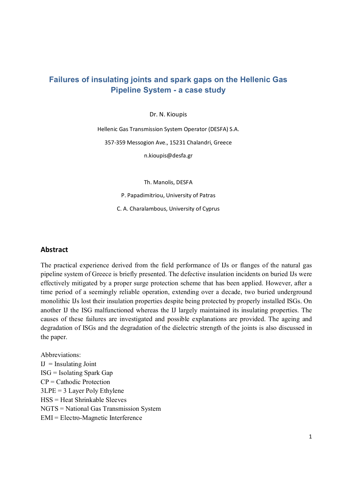# **Failures of insulating joints and spark gaps on the Hellenic Gas Pipeline System - a case study**

Dr. N. Kioupis

Hellenic Gas Transmission System Operator (DESFA) S.A. 357-359 Messogion Ave., 15231 Chalandri, Greece n.kioupis@desfa.gr

Th. Manolis, DESFA

P. Papadimitriou, University of Patras

C. A. Charalambous, University of Cyprus

#### **Abstract**

The practical experience derived from the field performance of IJs or flanges of the natural gas pipeline system of Greece is briefly presented. The defective insulation incidents on buried IJs were effectively mitigated by a proper surge protection scheme that has been applied. However, after a time period of a seemingly reliable operation, extending over a decade, two buried underground monolithic IJs lost their insulation properties despite being protected by properly installed ISGs. On another IJ the ISG malfunctioned whereas the IJ largely maintained its insulating properties. The causes of these failures are investigated and possible explanations are provided. The ageing and degradation of ISGs and the degradation of the dielectric strength of the joints is also discussed in the paper.

Abbreviations:  $IJ =$  Insulating Joint ISG = Isolating Spark Gap CP = Cathodic Protection 3LPE = 3 Layer Poly Ethylene HSS = Heat Shrinkable Sleeves NGTS = National Gas Transmission System EMI = Electro-Magnetic Interference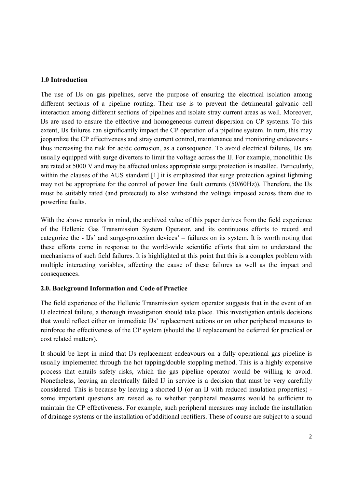#### **1.0 Introduction**

The use of IJs on gas pipelines, serve the purpose of ensuring the electrical isolation among different sections of a pipeline routing. Their use is to prevent the detrimental galvanic cell interaction among different sections of pipelines and isolate stray current areas as well. Moreover, IJs are used to ensure the effective and homogeneous current dispersion on CP systems. To this extent, IJs failures can significantly impact the CP operation of a pipeline system. In turn, this may jeopardize the CP effectiveness and stray current control, maintenance and monitoring endeavours thus increasing the risk for ac/dc corrosion, as a consequence. To avoid electrical failures, IJs are usually equipped with surge diverters to limit the voltage across the IJ. For example, monolithic IJs are rated at 5000 V and may be affected unless appropriate surge protection is installed. Particularly, within the clauses of the AUS standard [1] it is emphasized that surge protection against lightning may not be appropriate for the control of power line fault currents (50/60Hz)). Therefore, the IJs must be suitably rated (and protected) to also withstand the voltage imposed across them due to powerline faults.

With the above remarks in mind, the archived value of this paper derives from the field experience of the Hellenic Gas Transmission System Operator, and its continuous efforts to record and categorize the - IJs' and surge-protection devices' – failures on its system. It is worth noting that these efforts come in response to the world-wide scientific efforts that aim to understand the mechanisms of such field failures. It is highlighted at this point that this is a complex problem with multiple interacting variables, affecting the cause of these failures as well as the impact and consequences.

# **2.0. Background Information and Code of Practice**

The field experience of the Hellenic Transmission system operator suggests that in the event of an IJ electrical failure, a thorough investigation should take place. This investigation entails decisions that would reflect either on immediate IJs' replacement actions or on other peripheral measures to reinforce the effectiveness of the CP system (should the IJ replacement be deferred for practical or cost related matters).

It should be kept in mind that IJs replacement endeavours on a fully operational gas pipeline is usually implemented through the hot tapping/double stoppling method. This is a highly expensive process that entails safety risks, which the gas pipeline operator would be willing to avoid. Nonetheless, leaving an electrically failed IJ in service is a decision that must be very carefully considered. This is because by leaving a shorted IJ (or an IJ with reduced insulation properties) some important questions are raised as to whether peripheral measures would be sufficient to maintain the CP effectiveness. For example, such peripheral measures may include the installation of drainage systems or the installation of additional rectifiers. These of course are subject to a sound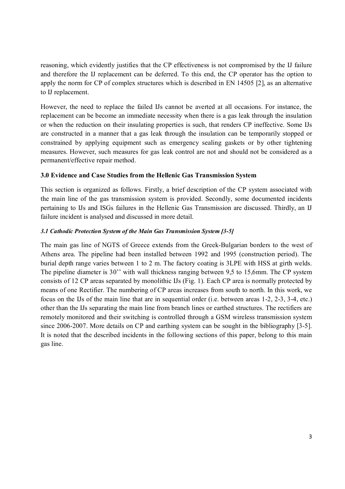reasoning, which evidently justifies that the CP effectiveness is not compromised by the IJ failure and therefore the IJ replacement can be deferred. To this end, the CP operator has the option to apply the norm for CP of complex structures which is described in EN 14505 [2], as an alternative to IJ replacement.

However, the need to replace the failed IJs cannot be averted at all occasions. For instance, the replacement can be become an immediate necessity when there is a gas leak through the insulation or when the reduction on their insulating properties is such, that renders CP ineffective. Some IJs are constructed in a manner that a gas leak through the insulation can be temporarily stopped or constrained by applying equipment such as emergency sealing gaskets or by other tightening measures. However, such measures for gas leak control are not and should not be considered as a permanent/effective repair method.

## **3.0 Evidence and Case Studies from the Hellenic Gas Transmission System**

This section is organized as follows. Firstly, a brief description of the CP system associated with the main line of the gas transmission system is provided. Secondly, some documented incidents pertaining to IJs and ISGs failures in the Hellenic Gas Transmission are discussed. Thirdly, an IJ failure incident is analysed and discussed in more detail.

#### *3.1 Cathodic Protection System of the Main Gas Transmission System [3-5]*

The main gas line of NGTS of Greece extends from the Greek-Bulgarian borders to the west of Athens area. The pipeline had been installed between 1992 and 1995 (construction period). The burial depth range varies between 1 to 2 m. The factory coating is 3LPE with HSS at girth welds. The pipeline diameter is 30'' with wall thickness ranging between 9,5 to 15,6mm. The CP system consists of 12 CP areas separated by monolithic IJs (Fig. 1). Each CP area is normally protected by means of one Rectifier. The numbering of CP areas increases from south to north. In this work, we focus on the IJs of the main line that are in sequential order (i.e. between areas 1-2, 2-3, 3-4, etc.) other than the IJs separating the main line from branch lines or earthed structures. The rectifiers are remotely monitored and their switching is controlled through a GSM wireless transmission system since 2006-2007. More details on CP and earthing system can be sought in the bibliography [3-5]. It is noted that the described incidents in the following sections of this paper, belong to this main gas line.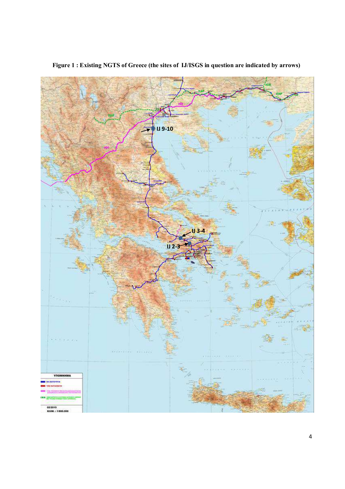

**Figure 1 : Existing NGTS of Greece (the sites of IJ/ISGS in question are indicated by arrows)**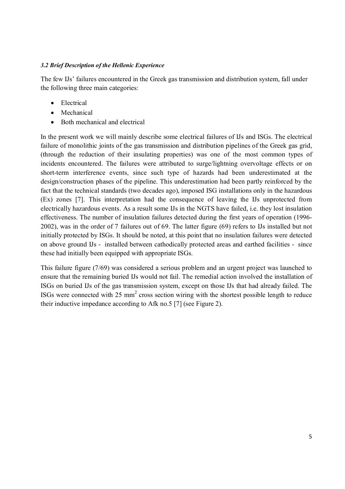#### *3.2 Brief Description of the Hellenic Experience*

The few IJs' failures encountered in the Greek gas transmission and distribution system, fall under the following three main categories:

- Electrical
- Mechanical
- Both mechanical and electrical

In the present work we will mainly describe some electrical failures of IJs and ISGs. The electrical failure of monolithic joints of the gas transmission and distribution pipelines of the Greek gas grid, (through the reduction of their insulating properties) was one of the most common types of incidents encountered. The failures were attributed to surge/lightning overvoltage effects or on short-term interference events, since such type of hazards had been underestimated at the design/construction phases of the pipeline. This underestimation had been partly reinforced by the fact that the technical standards (two decades ago), imposed ISG installations only in the hazardous (Ex) zones [7]. This interpretation had the consequence of leaving the IJs unprotected from electrically hazardous events. As a result some IJs in the NGTS have failed, i.e. they lost insulation effectiveness. The number of insulation failures detected during the first years of operation (1996- 2002), was in the order of 7 failures out of 69. The latter figure (69) refers to IJs installed but not initially protected by ISGs. It should be noted, at this point that no insulation failures were detected on above ground IJs - installed between cathodically protected areas and earthed facilities - since these had initially been equipped with appropriate ISGs.

This failure figure (7/69) was considered a serious problem and an urgent project was launched to ensure that the remaining buried IJs would not fail. The remedial action involved the installation of ISGs on buried IJs of the gas transmission system, except on those IJs that had already failed. The ISGs were connected with  $25 \text{ mm}^2$  cross section wiring with the shortest possible length to reduce their inductive impedance according to Afk no.5 [7] (see Figure 2).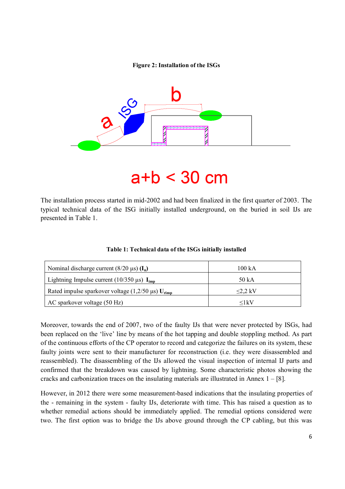#### **Figure 2: Installation of the ISGs**



# $a+b < 30$  cm

The installation process started in mid-2002 and had been finalized in the first quarter of 2003. The typical technical data of the ISG initially installed underground, on the buried in soil IJs are presented in Table 1.

| Nominal discharge current $(8/20 \,\mu s)$ (I <sub>n</sub> )         | 100 kA        |
|----------------------------------------------------------------------|---------------|
| Lightning Impulse current (10/350 $\mu$ s) I <sub>imp</sub>          | 50 kA         |
| Rated impulse sparkover voltage $(1,2/50 \,\mu s)$ U <sub>rimp</sub> | $\leq$ 2.2 kV |
| AC sparkover voltage (50 Hz)                                         | $\leq$ 1 kV   |

**Table 1: Technical data of the ISGs initially installed** 

Moreover, towards the end of 2007, two of the faulty IJs that were never protected by ISGs, had been replaced on the 'live' line by means of the hot tapping and double stoppling method. As part of the continuous efforts of the CP operator to record and categorize the failures on its system, these faulty joints were sent to their manufacturer for reconstruction (i.e. they were disassembled and reassembled). The disassembling of the IJs allowed the visual inspection of internal IJ parts and confirmed that the breakdown was caused by lightning. Some characteristic photos showing the cracks and carbonization traces on the insulating materials are illustrated in Annex  $1 - [8]$ .

However, in 2012 there were some measurement-based indications that the insulating properties of the - remaining in the system - faulty IJs, deteriorate with time. This has raised a question as to whether remedial actions should be immediately applied. The remedial options considered were two. The first option was to bridge the IJs above ground through the CP cabling, but this was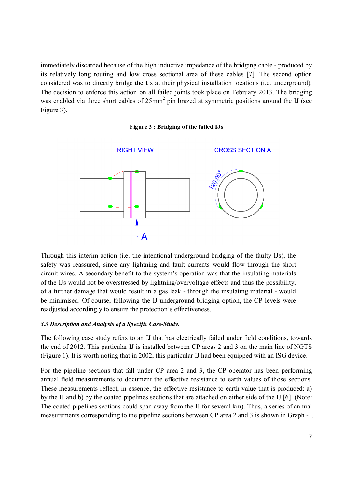immediately discarded because of the high inductive impedance of the bridging cable - produced by its relatively long routing and low cross sectional area of these cables [7]. The second option considered was to directly bridge the IJs at their physical installation locations (i.e. underground). The decision to enforce this action on all failed joints took place on February 2013. The bridging was enabled via three short cables of  $25mm^2$  pin brazed at symmetric positions around the IJ (see Figure 3).

#### **Figure 3 : Bridging of the failed IJs**



Through this interim action (i.e. the intentional underground bridging of the faulty IJs), the safety was reassured, since any lightning and fault currents would flow through the short circuit wires. A secondary benefit to the system's operation was that the insulating materials of the IJs would not be overstressed by lightning/overvoltage effects and thus the possibility, of a further damage that would result in a gas leak - through the insulating material - would be minimised. Of course, following the IJ underground bridging option, the CP levels were readjusted accordingly to ensure the protection's effectiveness.

#### *3.3 Description and Analysis of a Specific Case-Study.*

The following case study refers to an IJ that has electrically failed under field conditions, towards the end of 2012. This particular IJ is installed between CP areas 2 and 3 on the main line of NGTS (Figure 1). It is worth noting that in 2002, this particular IJ had been equipped with an ISG device.

For the pipeline sections that fall under CP area 2 and 3, the CP operator has been performing annual field measurements to document the effective resistance to earth values of those sections. These measurements reflect, in essence, the effective resistance to earth value that is produced: a) by the IJ and b) by the coated pipelines sections that are attached on either side of the IJ [6]. (Note: The coated pipelines sections could span away from the IJ for several km). Thus, a series of annual measurements corresponding to the pipeline sections between CP area 2 and 3 is shown in Graph -1.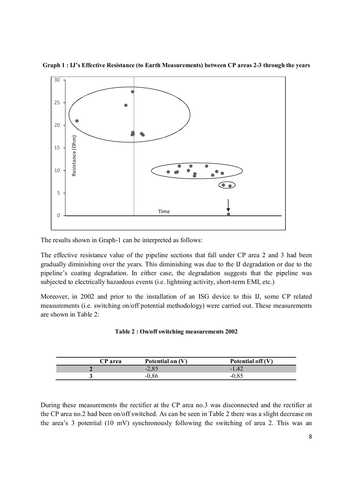

**Graph 1 : IJ's Effective Resistance (to Earth Measurements) between CP areas 2-3 through the years** 

The results shown in Graph-1 can be interpreted as follows:

The effective resistance value of the pipeline sections that fall under CP area 2 and 3 had been gradually diminishing over the years. This diminishing was due to the IJ degradation or due to the pipeline's coating degradation. In either case, the degradation suggests that the pipeline was subjected to electrically hazardous events (i.e. lightning activity, short-term EMI, etc.)

Moreover, in 2002 and prior to the installation of an ISG device to this IJ, some CP related measurements (i.e. switching on/off potential methodology) were carried out. These measurements are shown in Table 2:

#### **Table 2 : On/off switching measurements 2002**

| <b>CP</b> area | Potential on (V) | Potential off $(V)$ |
|----------------|------------------|---------------------|
|                | $-2,85$          | $-1,42$             |
|                | $-0,86$          |                     |

During these measurements the rectifier at the CP area no.3 was disconnected and the rectifier at the CP area no.2 had been on/off switched. As can be seen in Table 2 there was a slight decrease on the area's 3 potential (10 mV) synchronously following the switching of area 2. This was an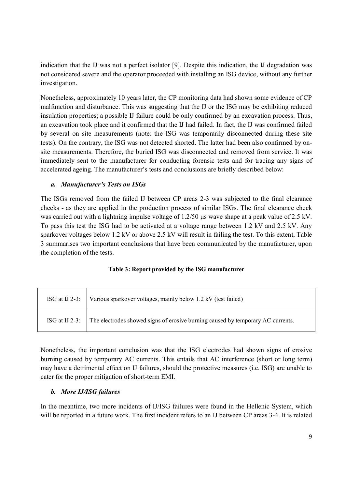indication that the IJ was not a perfect isolator [9]. Despite this indication, the IJ degradation was not considered severe and the operator proceeded with installing an ISG device, without any further investigation.

Nonetheless, approximately 10 years later, the CP monitoring data had shown some evidence of CP malfunction and disturbance. This was suggesting that the IJ or the ISG may be exhibiting reduced insulation properties; a possible IJ failure could be only confirmed by an excavation process. Thus, an excavation took place and it confirmed that the IJ had failed. In fact, the IJ was confirmed failed by several on site measurements (note: the ISG was temporarily disconnected during these site tests). On the contrary, the ISG was not detected shorted. The latter had been also confirmed by onsite measurements. Therefore, the buried ISG was disconnected and removed from service. It was immediately sent to the manufacturer for conducting forensic tests and for tracing any signs of accelerated ageing. The manufacturer's tests and conclusions are briefly described below:

# *a. Manufacturer's Tests on ISGs*

The ISGs removed from the failed IJ between CP areas 2-3 was subjected to the final clearance checks - as they are applied in the production process of similar ISGs. The final clearance check was carried out with a lightning impulse voltage of 1.2/50  $\mu$ s wave shape at a peak value of 2.5 kV. To pass this test the ISG had to be activated at a voltage range between 1.2 kV and 2.5 kV. Any sparkover voltages below 1.2 kV or above 2.5 kV will result in failing the test. To this extent, Table 3 summarises two important conclusions that have been communicated by the manufacturer, upon the completion of the tests.

#### **Table 3: Report provided by the ISG manufacturer**

| ISG at IJ 2-3: $\vert$ Various sparkover voltages, mainly below 1.2 kV (test failed)           |
|------------------------------------------------------------------------------------------------|
| ISG at IJ 2-3: The electrodes showed signs of erosive burning caused by temporary AC currents. |

Nonetheless, the important conclusion was that the ISG electrodes had shown signs of erosive burning caused by temporary AC currents. This entails that AC interference (short or long term) may have a detrimental effect on IJ failures, should the protective measures (i.e. ISG) are unable to cater for the proper mitigation of short-term EMI.

# *b. More IJ/ISG failures*

In the meantime, two more incidents of IJ/ISG failures were found in the Hellenic System, which will be reported in a future work. The first incident refers to an IJ between CP areas 3-4. It is related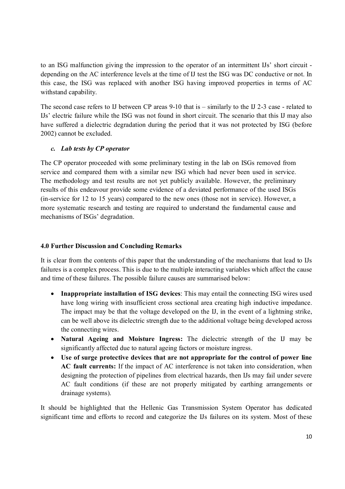to an ISG malfunction giving the impression to the operator of an intermittent IJs' short circuit depending on the AC interference levels at the time of IJ test the ISG was DC conductive or not. In this case, the ISG was replaced with another ISG having improved properties in terms of AC withstand capability.

The second case refers to IJ between CP areas 9-10 that is – similarly to the IJ 2-3 case - related to IJs' electric failure while the ISG was not found in short circuit. The scenario that this IJ may also have suffered a dielectric degradation during the period that it was not protected by ISG (before 2002) cannot be excluded.

# *c. Lab tests by CP operator*

The CP operator proceeded with some preliminary testing in the lab on ISGs removed from service and compared them with a similar new ISG which had never been used in service. The methodology and test results are not yet publicly available. However, the preliminary results of this endeavour provide some evidence of a deviated performance of the used ISGs (in-service for 12 to 15 years) compared to the new ones (those not in service). However, a more systematic research and testing are required to understand the fundamental cause and mechanisms of ISGs' degradation.

# **4.0 Further Discussion and Concluding Remarks**

It is clear from the contents of this paper that the understanding of the mechanisms that lead to IJs failures is a complex process. This is due to the multiple interacting variables which affect the cause and time of these failures. The possible failure causes are summarised below:

- **Inappropriate installation of ISG devices**: This may entail the connecting ISG wires used have long wiring with insufficient cross sectional area creating high inductive impedance. The impact may be that the voltage developed on the IJ, in the event of a lightning strike, can be well above its dielectric strength due to the additional voltage being developed across the connecting wires.
- **Natural Ageing and Moisture Ingress:** The dielectric strength of the IJ may be significantly affected due to natural ageing factors or moisture ingress.
- **Use of surge protective devices that are not appropriate for the control of power line AC fault currents:** If the impact of AC interference is not taken into consideration, when designing the protection of pipelines from electrical hazards, then IJs may fail under severe AC fault conditions (if these are not properly mitigated by earthing arrangements or drainage systems).

It should be highlighted that the Hellenic Gas Transmission System Operator has dedicated significant time and efforts to record and categorize the IJs failures on its system. Most of these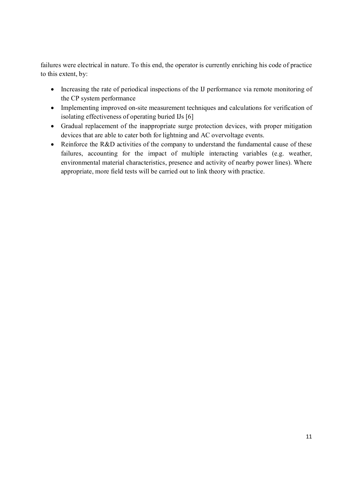failures were electrical in nature. To this end, the operator is currently enriching his code of practice to this extent, by:

- Increasing the rate of periodical inspections of the IJ performance via remote monitoring of the CP system performance
- Implementing improved on-site measurement techniques and calculations for verification of isolating effectiveness of operating buried IJs [6]
- Gradual replacement of the inappropriate surge protection devices, with proper mitigation devices that are able to cater both for lightning and AC overvoltage events.
- Reinforce the R&D activities of the company to understand the fundamental cause of these failures, accounting for the impact of multiple interacting variables (e.g. weather, environmental material characteristics, presence and activity of nearby power lines). Where appropriate, more field tests will be carried out to link theory with practice.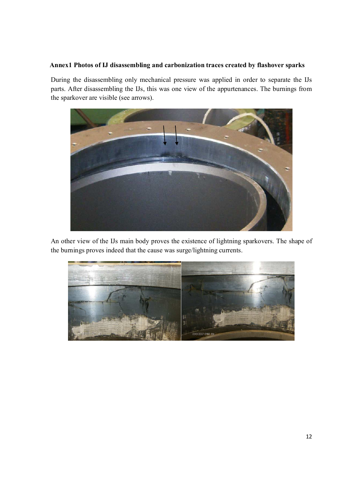## **Annex1 Photos of IJ disassembling and carbonization traces created by flashover sparks**

During the disassembling only mechanical pressure was applied in order to separate the IJs parts. After disassembling the IJs, this was one view of the appurtenances. The burnings from the sparkover are visible (see arrows).



An other view of the IJs main body proves the existence of lightning sparkovers. The shape of the burnings proves indeed that the cause was surge/lightning currents.

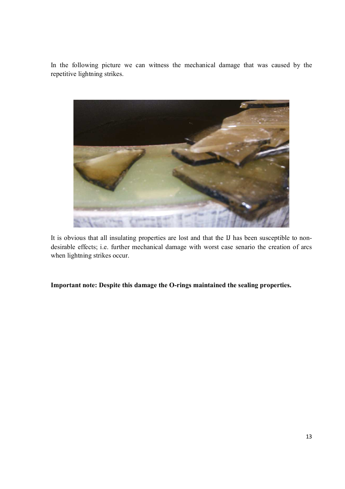In the following picture we can witness the mechanical damage that was caused by the repetitive lightning strikes.



It is obvious that all insulating properties are lost and that the IJ has been susceptible to nondesirable effects; i.e. further mechanical damage with worst case senario the creation of arcs when lightning strikes occur.

**Important note: Despite this damage the O-rings maintained the sealing properties.**